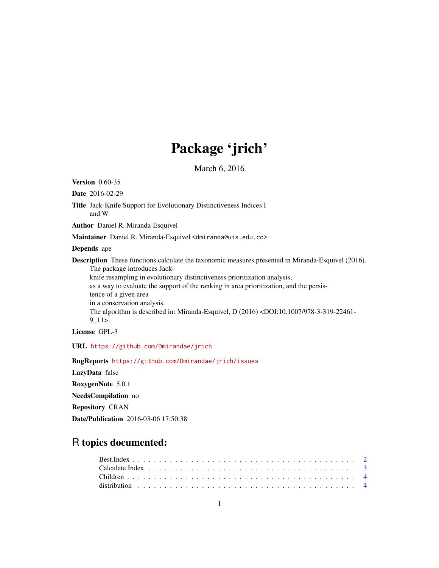# Package 'jrich'

March 6, 2016

Version 0.60-35 Date 2016-02-29 Title Jack-Knife Support for Evolutionary Distinctiveness Indices I and W Author Daniel R. Miranda-Esquivel Maintainer Daniel R. Miranda-Esquivel <dmiranda@uis.edu.co> Depends ape Description These functions calculate the taxonomic measures presented in Miranda-Esquivel (2016). The package introduces Jackknife resampling in evolutionary distinctiveness prioritization analysis, as a way to evaluate the support of the ranking in area prioritization, and the persistence of a given area in a conservation analysis. The algorithm is described in: Miranda-Esquivel, D (2016) <DOI:10.1007/978-3-319-22461- 9\_11>. License GPL-3 URL <https://github.com/Dmirandae/jrich>

BugReports <https://github.com/Dmirandae/jrich/issues>

LazyData false RoxygenNote 5.0.1 NeedsCompilation no Repository CRAN Date/Publication 2016-03-06 17:50:38

## R topics documented: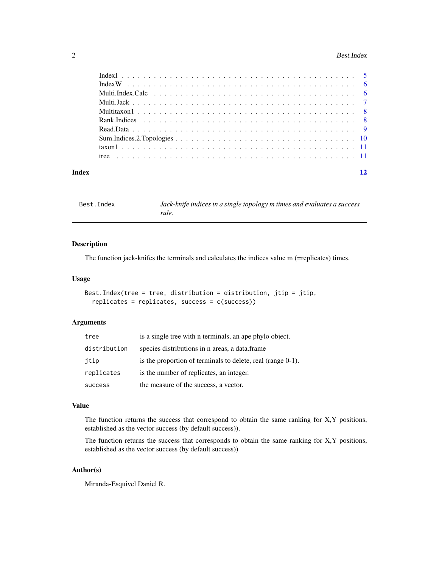#### <span id="page-1-0"></span>2 Best.Index

| Index | 12 |
|-------|----|

Best.Index *Jack-knife indices in a single topology m times and evaluates a success rule.*

#### Description

The function jack-knifes the terminals and calculates the indices value m (=replicates) times.

#### Usage

```
Best.Index(tree = tree, distribution = distribution, jtip = jtip,
  replicates = replicates, success = c(success))
```
#### Arguments

| tree           | is a single tree with n terminals, an ape phylo object.     |
|----------------|-------------------------------------------------------------|
| distribution   | species distributions in n areas, a data.frame              |
| jtip           | is the proportion of terminals to delete, real (range 0-1). |
| replicates     | is the number of replicates, an integer.                    |
| <b>SUCCESS</b> | the measure of the success, a vector.                       |

#### Value

The function returns the success that correspond to obtain the same ranking for X,Y positions, established as the vector success (by default success)).

The function returns the success that corresponds to obtain the same ranking for X,Y positions, established as the vector success (by default success))

#### Author(s)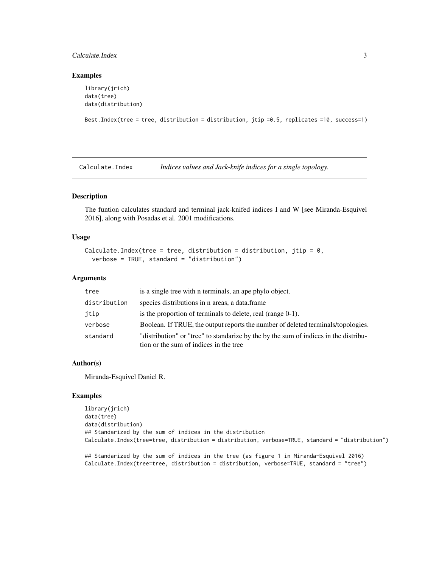#### <span id="page-2-0"></span>Calculate.Index 3

#### Examples

```
library(jrich)
data(tree)
data(distribution)
Best.Index(tree = tree, distribution = distribution, jtip =0.5, replicates =10, success=1)
```
Calculate.Index *Indices values and Jack-knife indices for a single topology.*

#### Description

The funtion calculates standard and terminal jack-knifed indices I and W [see Miranda-Esquivel 2016], along with Posadas et al. 2001 modifications.

#### Usage

```
Calculate. Index(tree = tree, distribution = distribution, jtip = 0,
  verbose = TRUE, standard = "distribution")
```
#### Arguments

| tree         | is a single tree with n terminals, an ape phylo object.                                                                        |
|--------------|--------------------------------------------------------------------------------------------------------------------------------|
| distribution | species distributions in n areas, a data.frame                                                                                 |
| jtip         | is the proportion of terminals to delete, real (range $0-1$ ).                                                                 |
| verbose      | Boolean. If TRUE, the output reports the number of deleted terminals/topologies.                                               |
| standard     | "distribution" or "tree" to standarize by the by the sum of indices in the distribu-<br>tion or the sum of indices in the tree |

#### Author(s)

Miranda-Esquivel Daniel R.

#### Examples

library(jrich) data(tree) data(distribution) ## Standarized by the sum of indices in the distribution Calculate.Index(tree=tree, distribution = distribution, verbose=TRUE, standard = "distribution")

## Standarized by the sum of indices in the tree (as figure 1 in Miranda-Esquivel 2016) Calculate.Index(tree=tree, distribution = distribution, verbose=TRUE, standard = "tree")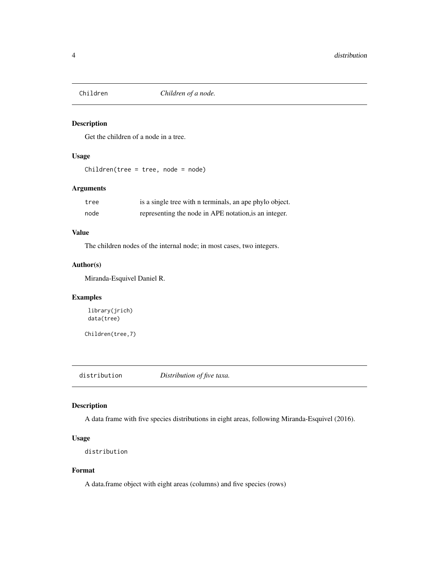<span id="page-3-0"></span>

#### Description

Get the children of a node in a tree.

#### Usage

Children(tree = tree, node = node)

#### Arguments

| tree | is a single tree with n terminals, an ape phylo object. |
|------|---------------------------------------------------------|
| node | representing the node in APE notation, is an integer.   |

#### Value

The children nodes of the internal node; in most cases, two integers.

#### Author(s)

Miranda-Esquivel Daniel R.

#### Examples

library(jrich) data(tree)

Children(tree,7)

distribution *Distribution of five taxa.*

#### Description

A data frame with five species distributions in eight areas, following Miranda-Esquivel (2016).

#### Usage

```
distribution
```
#### Format

A data.frame object with eight areas (columns) and five species (rows)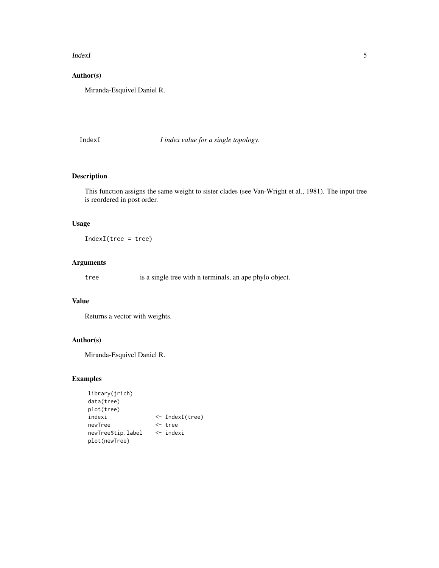#### <span id="page-4-0"></span>IndexI 5

### Author(s)

Miranda-Esquivel Daniel R.

#### IndexI *I index value for a single topology.*

#### Description

This function assigns the same weight to sister clades (see Van-Wright et al., 1981). The input tree is reordered in post order.

#### Usage

IndexI(tree = tree)

#### Arguments

tree is a single tree with n terminals, an ape phylo object.

#### Value

Returns a vector with weights.

#### Author(s)

Miranda-Esquivel Daniel R.

#### Examples

| library(jrich)     |                           |
|--------------------|---------------------------|
| data(tree)         |                           |
| plot(tree)         |                           |
| indexi             | $\leftarrow$ IndexI(tree) |
| newTree            | <- tree                   |
| newTree\$tip.label | $\leftarrow$ indexi       |
| plot(newTree)      |                           |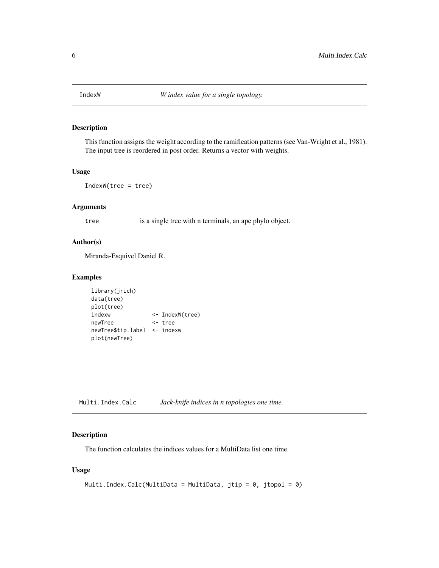<span id="page-5-0"></span>

#### Description

This function assigns the weight according to the ramification patterns (see Van-Wright et al., 1981). The input tree is reordered in post order. Returns a vector with weights.

#### Usage

IndexW(tree = tree)

#### Arguments

tree is a single tree with n terminals, an ape phylo object.

#### Author(s)

Miranda-Esquivel Daniel R.

#### Examples

```
library(jrich)
data(tree)
plot(tree)
indexw <- IndexW(tree)
newTree <- tree
newTree$tip.label <- indexw
plot(newTree)
```
Multi.Index.Calc *Jack-knife indices in n topologies one time.*

#### Description

The function calculates the indices values for a MultiData list one time.

#### Usage

```
Multi.Index.Calc(MultiData = MultiData, jtip = 0, jtopol = 0)
```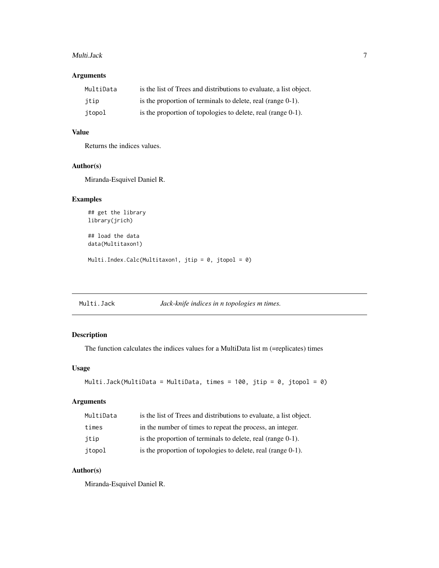#### <span id="page-6-0"></span>Multi.Jack 7

#### Arguments

| MultiData | is the list of Trees and distributions to evaluate, a list object. |
|-----------|--------------------------------------------------------------------|
| itip      | is the proportion of terminals to delete, real (range $0-1$ ).     |
| itopol    | is the proportion of topologies to delete, real (range 0-1).       |

#### Value

Returns the indices values.

#### Author(s)

Miranda-Esquivel Daniel R.

#### Examples

## get the library library(jrich)

## load the data data(Multitaxon1)

Multi.Index.Calc(Multitaxon1, jtip = 0, jtopol = 0)

Multi.Jack *Jack-knife indices in n topologies m times.*

#### Description

The function calculates the indices values for a MultiData list m (=replicates) times

#### Usage

```
Multi.Jack(MultiData = MultiData, times = 100, jtip = 0, jtopol = 0)
```
#### Arguments

| MultiData | is the list of Trees and distributions to evaluate, a list object. |
|-----------|--------------------------------------------------------------------|
| times     | in the number of times to repeat the process, an integer.          |
| itip      | is the proportion of terminals to delete, real (range 0-1).        |
| jtopol    | is the proportion of topologies to delete, real (range 0-1).       |

#### Author(s)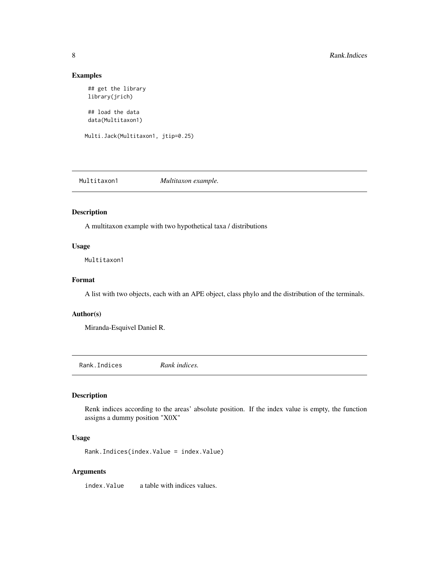#### Examples

```
## get the library
library(jrich)
```
## load the data data(Multitaxon1)

Multi.Jack(Multitaxon1, jtip=0.25)

Multitaxon1 *Multitaxon example.*

#### Description

A multitaxon example with two hypothetical taxa / distributions

#### Usage

Multitaxon1

#### Format

A list with two objects, each with an APE object, class phylo and the distribution of the terminals.

#### Author(s)

Miranda-Esquivel Daniel R.

Rank.Indices *Rank indices.*

#### Description

Renk indices according to the areas' absolute position. If the index value is empty, the function assigns a dummy position "X0X"

#### Usage

Rank.Indices(index.Value = index.Value)

#### Arguments

index.Value a table with indices values.

<span id="page-7-0"></span>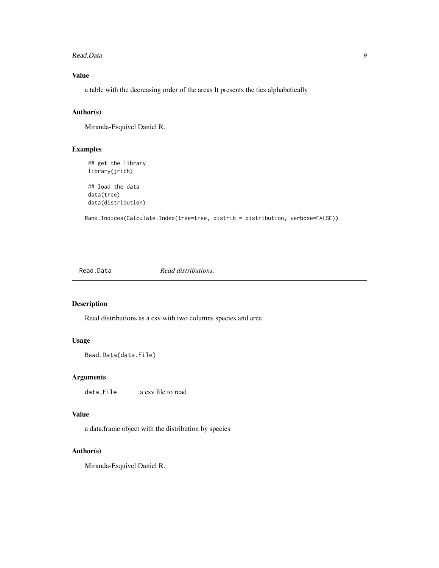#### <span id="page-8-0"></span>Read.Data 9

#### Value

a table with the decreasing order of the areas It presents the ties alphabetically

#### Author(s)

Miranda-Esquivel Daniel R.

#### Examples

```
## get the library
library(jrich)
```
## load the data data(tree) data(distribution)

Rank.Indices(Calculate.Index(tree=tree, distrib = distribution, verbose=FALSE))

Read.Data *Read distributions.*

#### Description

Read distributions as a csv with two columns species and area

#### Usage

```
Read.Data(data.File)
```
#### Arguments

data.File a csv file to read

#### Value

a data.frame object with the distribution by species

#### Author(s)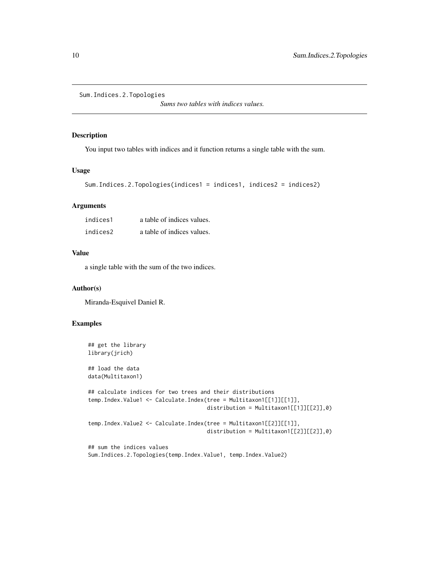```
Sum.Indices.2.Topologies
```
*Sums two tables with indices values.*

#### Description

You input two tables with indices and it function returns a single table with the sum.

#### Usage

```
Sum.Indices.2.Topologies(indices1 = indices1, indices2 = indices2)
```
#### Arguments

| indices1 | a table of indices values. |
|----------|----------------------------|
| indices2 | a table of indices values. |

#### Value

a single table with the sum of the two indices.

#### Author(s)

Miranda-Esquivel Daniel R.

#### Examples

```
## get the library
library(jrich)
## load the data
data(Multitaxon1)
## calculate indices for two trees and their distributions
temp.Index.Value1 <- Calculate.Index(tree = Multitaxon1[[1]][[1]],
                                     distribution = Multitaxon1[[1]][[2]],0)
temp.Index.Value2 <- Calculate.Index(tree = Multitaxon1[[2]][[1]],
                                     distribution = Multitaxon1[[2]][[2]],0)
## sum the indices values
Sum.Indices.2.Topologies(temp.Index.Value1, temp.Index.Value2)
```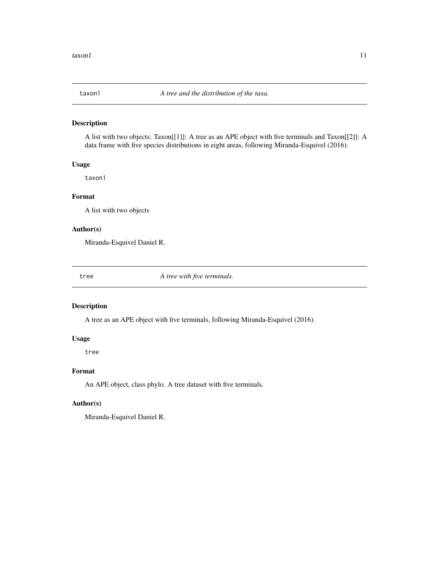<span id="page-10-0"></span>

#### Description

A list with two objects: Taxon[[1]]: A tree as an APE object with five terminals and Taxon[[2]]: A data frame with five species distributions in eight areas, following Miranda-Esquivel (2016).

#### Usage

taxon1

#### Format

A list with two objects

#### Author(s)

Miranda-Esquivel Daniel R.

tree *A tree with five terminals.*

#### Description

A tree as an APE object with five terminals, following Miranda-Esquivel (2016).

#### Usage

tree

#### Format

An APE object, class phylo. A tree dataset with five terminals.

#### Author(s)